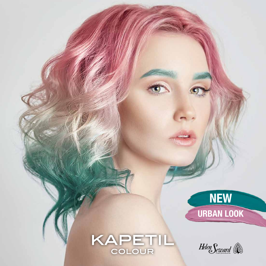

KAPETIL

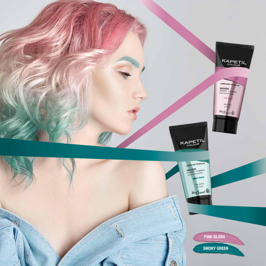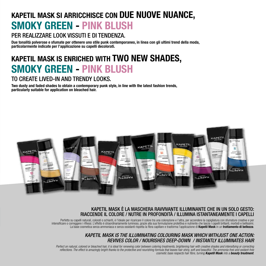# SMOKY GREEN - PINK BLUSH KAPETIL MASK SI ARRICCHISCE CON DUE NUOVE NUANCE,

## PER REALIZZARE LOOK VISSUTI E DI TENDENZA.

Due tonalità polverose e sfumate per ottenere uno stile punk contemporaneo, in linea con gli ultimi trend della moda, particolarmente indicate per l'applicazione su capelli decolorati.

# SMOKY GREEN - PINK BLUSH KAPETIL MASK IS ENRICHED WITH TWO NEW SHADES,

### TO CREATE LIVED-IN AND TRENDY LOOKS.

Two dusty and faded shades to obtain a contemporary punk style, in line with the latest fashion trends, particularly suitable for application on bleached hair.



### KAPETIL MASK È LA MASCHERA RAVVIVANTE ILLUMINANTE CHE IN UN SOLO GESTO: RIACCENDE IL COLORE / NUTRE IN PROFONDITÀ / ILLUMINA ISTANTANEAMENTE I CAPELLI

Perfetto su capelli naturali, colorati o schiariti, è l'ideale per ricaricare il colore tra una colorazione e l'altra, per accendere la capigliatura con sfumature creative e per intensificare o correggere i riflessi. L'effetto è straordinariamente luminoso, grazie alla sua formulazione protettiva e nutriente che lascia i capelli brillanti, morbidi e bellissimi. La base cosmetica senza ammoniaca e senza ossidanti rispetta la fibra capillare e trasforma l'applicazione di **Kapetil Mask** in un trattamento di bellezza.

### *KAPETIL MASK IS THE ILLUMINATING COLOURING MASK WHICH WITHJUST ONE ACTION: REVIVES COLOR / NOURISHES DEEP-DOWN / INSTANTLY ILLUMINATES HAIR*

Perfect on natural, colored or bleached hair, it is ideal for renewing color between coloring treatments, brightening hair with creative shades and intensifying or correcting reflections. The effect is amazingly bright thanks to the protective and nourishing formula that leaves hair shiny, soft and beautiful. The ammonia-free and oxidant-free *cosmetic base respects hair fibre, turning Kapetil Mask into a beauty treatment.*